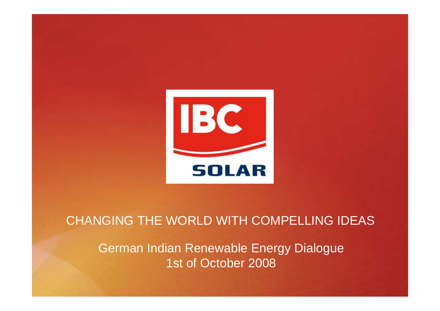

# CHANGING THE WORLD WITH COMPELLING IDEAS

German Indian Renewable Energy Dialogue 1st of October 2008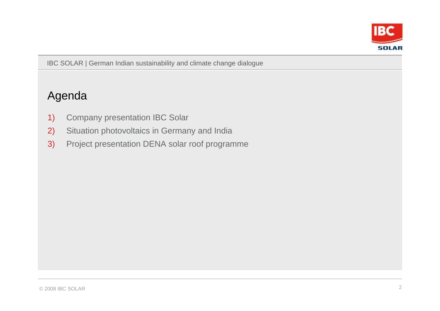

## Agenda

- 1) Company presentation IBC Solar
- 2) Situation photovoltaics in Germany and India
- 3) Project presentation DENA solar roof programme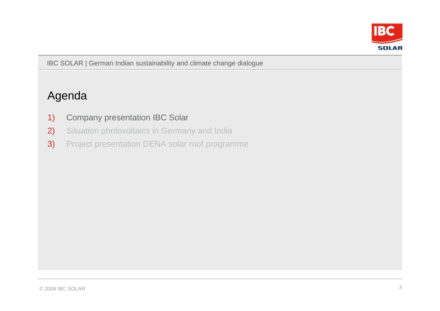

## Agenda

- 1) Company presentation IBC Solar
- 2) Situation photovoltaics in Germany and India
- 3) Project presentation DENA solar roof programme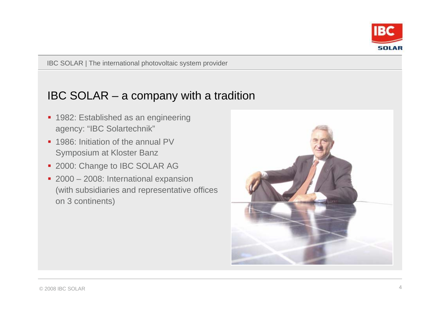

## IBC SOLAR – a company with a tradition

- 1982: Established as an engineering agency: "IBC Solartechnik"
- 1986: Initiation of the annual PV Symposium at Kloster Banz
- **2000: Change to IBC SOLAR AG**
- 2000 2008: International expansion (with subsidiaries and representative offices on 3 continents)

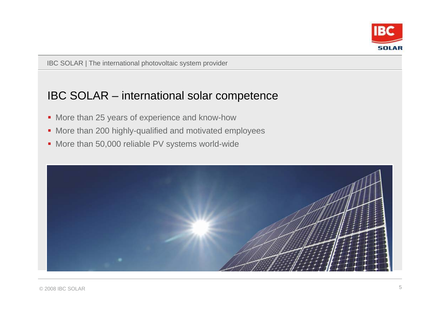

### IBC SOLAR – international solar competence

- More than 25 years of experience and know-how
- More than 200 highly-qualified and motivated employees
- **More than 50,000 reliable PV systems world-wide**

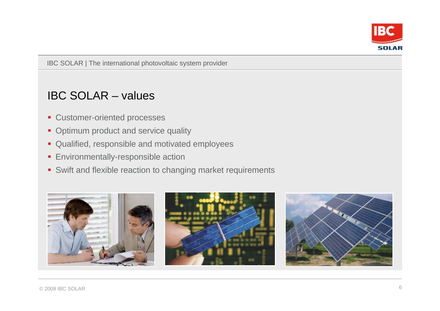

## IBC SOLAR – values

- **Customer-oriented processes**
- Optimum product and service quality
- **Qualified, responsible and motivated employees**
- **Environmentally-responsible action**
- Swift and flexible reaction to changing market requirements

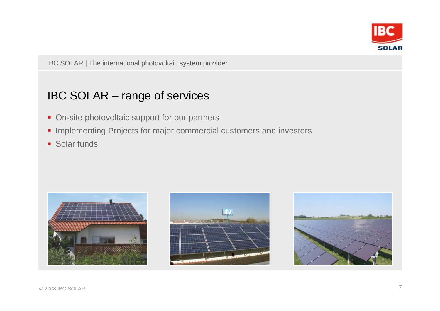

## IBC SOLAR – range of services

- **On-site photovoltaic support for our partners**
- **Implementing Projects for major commercial customers and investors**
- **Solar funds**





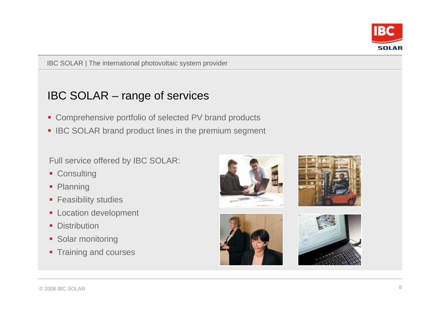

## IBC SOLAR – range of services

- **Comprehensive portfolio of selected PV brand products**
- **IBC SOLAR brand product lines in the premium segment**

#### Full service offered by IBC SOLAR:

- **Consulting**
- **Planning**
- **Feasibility studies**
- **Location development**
- **Distribution**
- **Solar monitoring**
- **Training and courses**







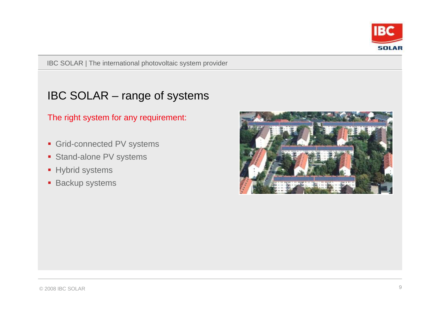

## IBC SOLAR – range of systems

#### The right system for any requirement:

- Grid-connected PV systems
- **Stand-alone PV systems**
- **Hybrid systems**
- **Backup systems**

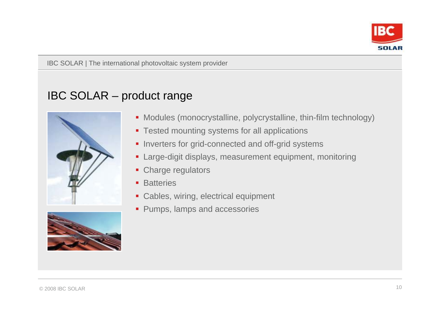

## IBC SOLAR – product range





- Modules (monocrystalline, polycrystalline, thin-film technology)
- **Tested mounting systems for all applications**
- **Inverters for grid-connected and off-grid systems**
- Large-digit displays, measurement equipment, monitoring
- Charge regulators
- **Batteries**
- **Cables, wiring, electrical equipment**
- **Pumps, lamps and accessories**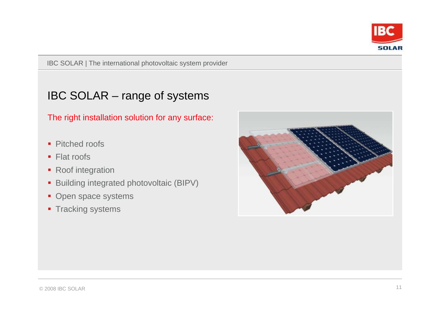

## IBC SOLAR – range of systems

The right installation solution for any surface:

- Pitched roofs
- Flat roofs
- Roof integration
- **Building integrated photovoltaic (BIPV)**
- Open space systems
- **Tracking systems**

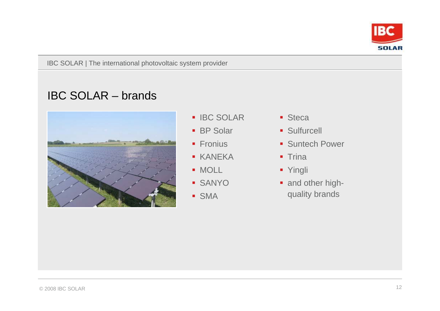

## IBC SOLAR – brands



- **IBC SOLAR**
- **BP Solar**
- **Fronius**
- KANEKA
- MOLL
- SANYO
- SMA
- **Steca**
- **Sulfurcell**
- **Suntech Power**
- Trina
- Yingli
- and other highquality brands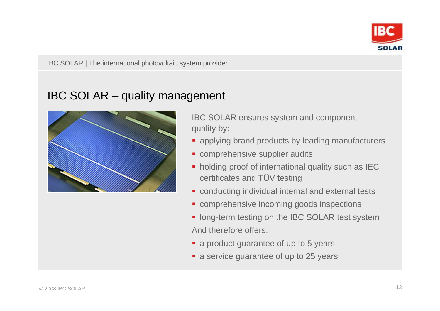

## IBC SOLAR – quality management



IBC SOLAR ensures system and component quality by:

- **applying brand products by leading manufacturers**
- **Comprehensive supplier audits**
- **holding proof of international quality such as IEC** certificates and TÜV testing
- conducting individual internal and external tests
- **comprehensive incoming goods inspections**
- **If** long-term testing on the IBC SOLAR test system And therefore offers:
- a product guarantee of up to 5 years
- **a** service guarantee of up to 25 years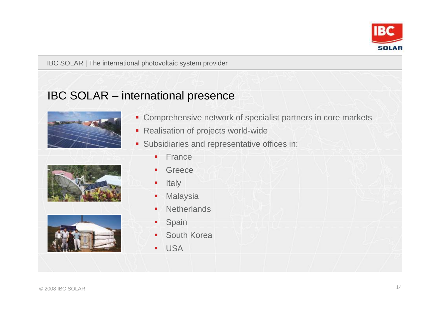

## IBC SOLAR – international presence



- **Comprehensive network of specialist partners in core markets**
- Realisation of projects world-wide
- **Subsidiaries and representative offices in:**





|                | $\frac{1}{2} \left( \frac{1}{2} \right) \left( \frac{1}{2} \right) \left( \frac{1}{2} \right) \left( \frac{1}{2} \right) \left( \frac{1}{2} \right) \left( \frac{1}{2} \right) \left( \frac{1}{2} \right) \left( \frac{1}{2} \right) \left( \frac{1}{2} \right) \left( \frac{1}{2} \right) \left( \frac{1}{2} \right) \left( \frac{1}{2} \right) \left( \frac{1}{2} \right) \left( \frac{1}{2} \right) \left( \frac{1}{2} \right) \left( \frac{1}{2} \right) \left( \frac$<br>.<br>• France |  |
|----------------|---------------------------------------------------------------------------------------------------------------------------------------------------------------------------------------------------------------------------------------------------------------------------------------------------------------------------------------------------------------------------------------------------------------------------------------------------------------------------------------------|--|
| $\blacksquare$ | Greece                                                                                                                                                                                                                                                                                                                                                                                                                                                                                      |  |
| $\blacksquare$ | Italy                                                                                                                                                                                                                                                                                                                                                                                                                                                                                       |  |
| m.             | Malaysia                                                                                                                                                                                                                                                                                                                                                                                                                                                                                    |  |
|                | • Netherlands                                                                                                                                                                                                                                                                                                                                                                                                                                                                               |  |
| ٠,             | Spain                                                                                                                                                                                                                                                                                                                                                                                                                                                                                       |  |
|                | • South Korea                                                                                                                                                                                                                                                                                                                                                                                                                                                                               |  |
| $\blacksquare$ | <b>USA</b>                                                                                                                                                                                                                                                                                                                                                                                                                                                                                  |  |
|                |                                                                                                                                                                                                                                                                                                                                                                                                                                                                                             |  |
|                |                                                                                                                                                                                                                                                                                                                                                                                                                                                                                             |  |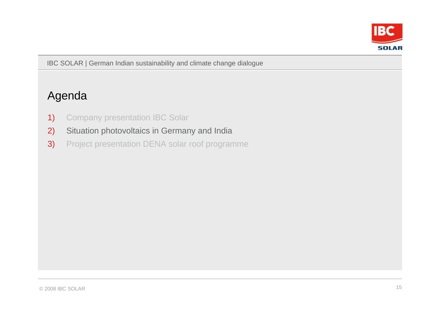

## Agenda

- 1) Company presentation IBC Solar
- 2) Situation photovoltaics in Germany and India
- 3) Project presentation DENA solar roof programme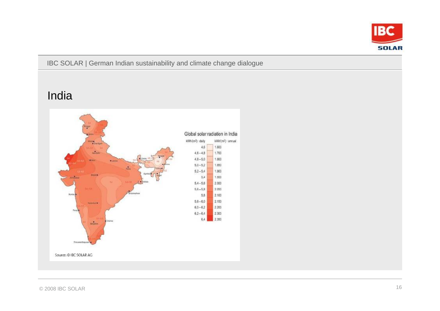

## India

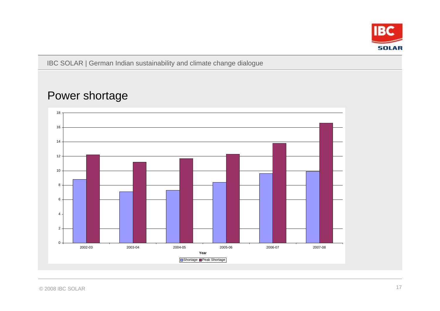

## Power shortage

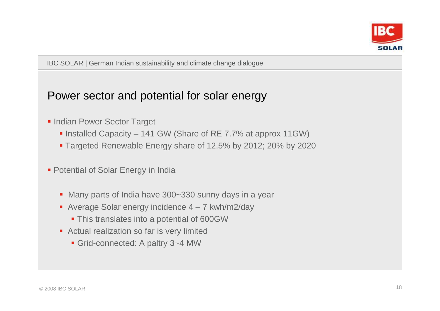

## Power sector and potential for solar energy

- **Indian Power Sector Target** 
	- Installed Capacity 141 GW (Share of RE 7.7% at approx 11GW)
	- Targeted Renewable Energy share of 12.5% by 2012; 20% by 2020
- **Potential of Solar Energy in India** 
	- Many parts of India have 300~330 sunny days in a year
	- Average Solar energy incidence 4 7 kwh/m2/day
		- **This translates into a potential of 600GW**
	- **Actual realization so far is very limited** 
		- Grid-connected: A paltry 3~4 MW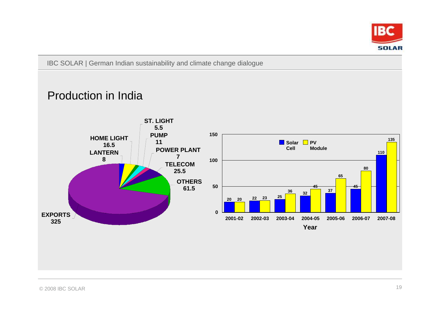

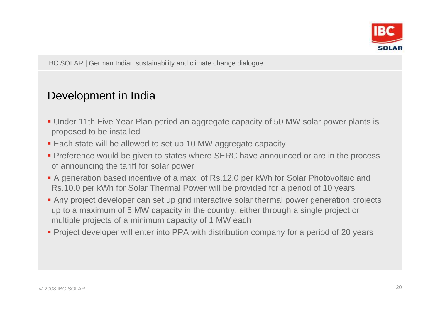

## Development in India

- Under 11th Five Year Plan period an aggregate capacity of 50 MW solar power plants is proposed to be installed
- **Each state will be allowed to set up 10 MW aggregate capacity**
- **Preference would be given to states where SERC have announced or are in the process** of announcing the tariff for solar power
- A generation based incentive of a max. of Rs.12.0 per kWh for Solar Photovoltaic and Rs.10.0 per kWh for Solar Thermal Power will be provided for a period of 10 years
- Any project developer can set up grid interactive solar thermal power generation projects up to a maximum of 5 MW capacity in the country, either through a single project or multiple projects of a minimum capacity of 1 MW each
- **Project developer will enter into PPA with distribution company for a period of 20 years**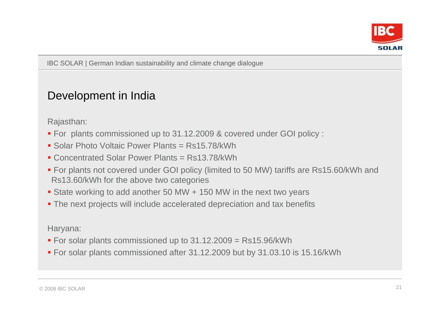

## Development in India

Rajasthan:

- For plants commissioned up to 31.12.2009 & covered under GOI policy :
- Solar Photo Voltaic Power Plants = Rs15.78/kWh
- Concentrated Solar Power Plants = Rs13.78/kWh
- For plants not covered under GOI policy (limited to 50 MW) tariffs are Rs15.60/kWh and Rs13.60/kWh for the above two categories
- State working to add another 50 MW + 150 MW in the next two years
- The next projects will include accelerated depreciation and tax benefits

Haryana:

- For solar plants commissioned up to 31.12.2009 = Rs15.96/kWh
- For solar plants commissioned after 31.12.2009 but by 31.03.10 is 15.16/kWh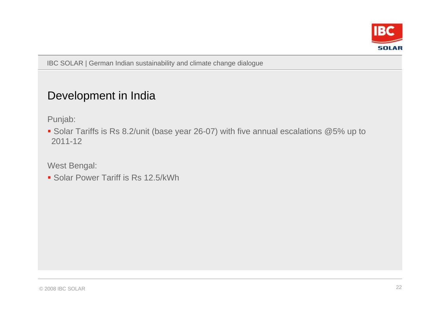

## Development in India

Punjab:

■ Solar Tariffs is Rs 8.2/unit (base year 26-07) with five annual escalations @5% up to 2011-12

West Bengal:

**Solar Power Tariff is Rs 12.5/kWh**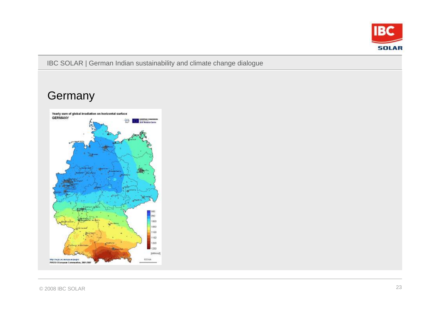

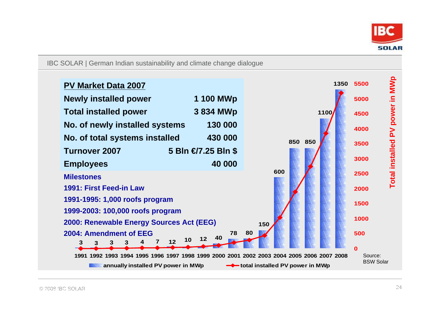

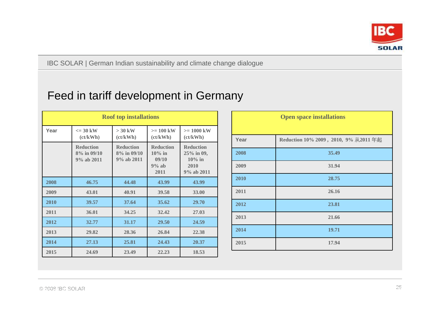

## Feed in tariff development in Germany

|      |                                               | <b>Roof top installations</b>                 |                                                           |                                                                        |
|------|-----------------------------------------------|-----------------------------------------------|-----------------------------------------------------------|------------------------------------------------------------------------|
| Year | $\epsilon = 30$ kW<br>(ct/kWh)                | $>$ 30 kW<br>(ct/kWh)                         | $>= 100$ kW<br>(ct/kWh)                                   | $>= 1000$ kW<br>(ct/kWh)                                               |
|      | <b>Reduction</b><br>8% in 09/10<br>9% ab 2011 | <b>Reduction</b><br>8% in 09/10<br>9% ab 2011 | <b>Reduction</b><br>$10\%$ in<br>09/10<br>$9%$ ab<br>2011 | <b>Reduction</b><br>25% in 09,<br>$10\%$ in<br>2010<br>$9\%$ ab $2011$ |
| 2008 | 46.75                                         | 44.48                                         | 43.99                                                     | 43.99                                                                  |
| 2009 | 43.01                                         | 40.91                                         | 39.58                                                     | 33.00                                                                  |
| 2010 | 39.57                                         | 37.64                                         | 35.62                                                     | 29.70                                                                  |
| 2011 | 36.01                                         | 34.25                                         | 32.42                                                     | 27.03                                                                  |
| 2012 | 32.77                                         | 31.17                                         | 29.50                                                     | 24.59                                                                  |
| 2013 | 29.82                                         | 28.36                                         | 26.84                                                     | 22.38                                                                  |
| 2014 | 27.13                                         | 25.81                                         | 24.43                                                     | 20.37                                                                  |
| 2015 | 24.69                                         | 23.49                                         | 22.23                                                     | 18.53                                                                  |

|      | <b>Open space installations</b>      |
|------|--------------------------------------|
| Year | Reduction 10% 2009, 2010, 9% 从2011年起 |
| 2008 | 35.49                                |
| 2009 | 31.94                                |
| 2010 | 28.75                                |
| 2011 | 26.16                                |
| 2012 | 23.81                                |
| 2013 | 21.66                                |
| 2014 | 19.71                                |
| 2015 | 17.94                                |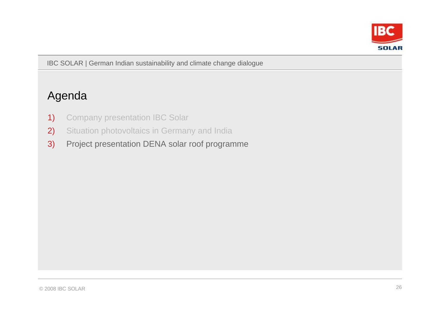

## Agenda

- 1) Company presentation IBC Solar
- 2) Situation photovoltaics in Germany and India
- 3) Project presentation DENA solar roof programme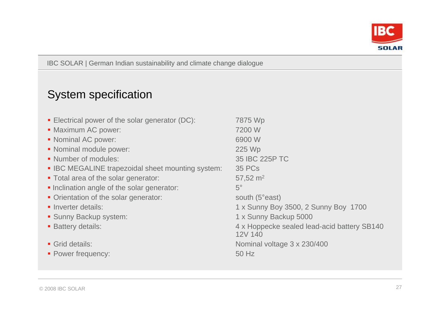

# System specification

| • Electrical power of the solar generator (DC):   | 7875 Wp                                     |
|---------------------------------------------------|---------------------------------------------|
| • Maximum AC power:                               | 7200 W                                      |
| • Nominal AC power:                               | 6900 W                                      |
| • Nominal module power:                           | 225 Wp                                      |
| • Number of modules:                              | 35 IBC 225P TC                              |
| • IBC MEGALINE trapezoidal sheet mounting system: | <b>35 PCs</b>                               |
| • Total area of the solar generator:              | 57,52 $m2$                                  |
| • Inclination angle of the solar generator:       | $5^\circ$                                   |
| • Orientation of the solar generator:             | south (5°east)                              |
| • Inverter details:                               | 1 x Sunny Boy 3500, 2 Sunny Boy 1700        |
| • Sunny Backup system:                            | 1 x Sunny Backup 5000                       |
| <b>Battery details:</b>                           | 4 x Hoppecke sealed lead-acid battery SB140 |
|                                                   | 12V 140                                     |
| • Grid details:                                   | Nominal voltage 3 x 230/400                 |
| • Power frequency:                                | 50 Hz                                       |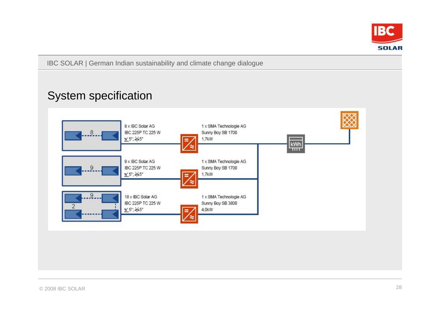

## System specification

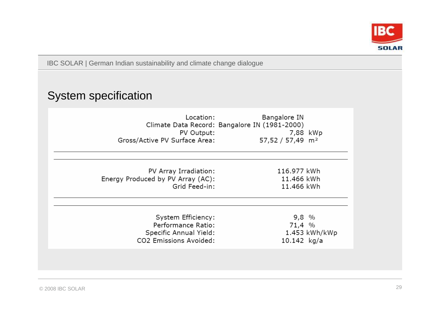

## System specification

| Location:<br>PV Output:<br>Gross/Active PV Surface Area:                                     | Bangalore IN<br>Climate Data Record: Bangalore IN (1981-2000)<br>7,88 kWp<br>57,52 / 57,49 m <sup>2</sup> |                 |
|----------------------------------------------------------------------------------------------|-----------------------------------------------------------------------------------------------------------|-----------------|
| PV Array Irradiation:<br>Energy Produced by PV Array (AC):<br>Grid Feed-in:                  | 116.977 kWh<br>11.466 kWh<br>11.466 kWh                                                                   |                 |
| System Efficiency:<br>Performance Ratio:<br>Specific Annual Yield:<br>CO2 Emissions Avoided: | $9,8$ %<br>71,4 %<br>10.142 $kg/a$                                                                        | $1.453$ kWh/kWp |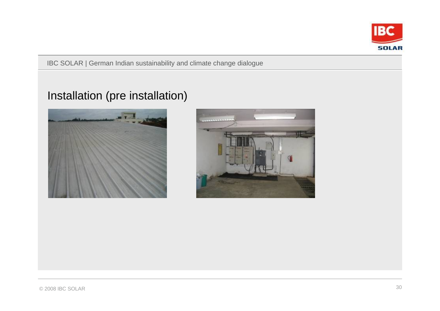

## Installation (pre installation)



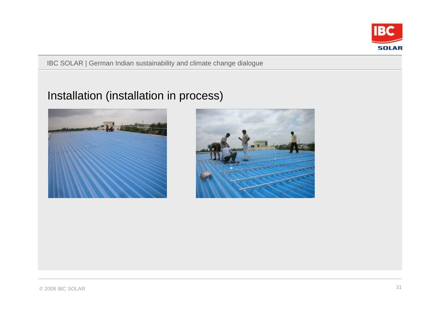

## Installation (installation in process)



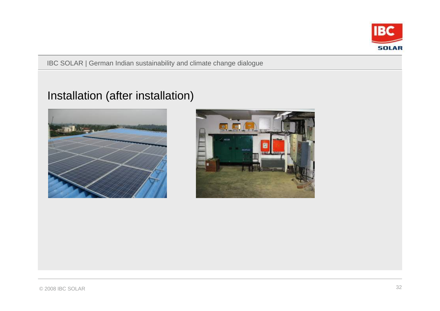

## Installation (after installation)



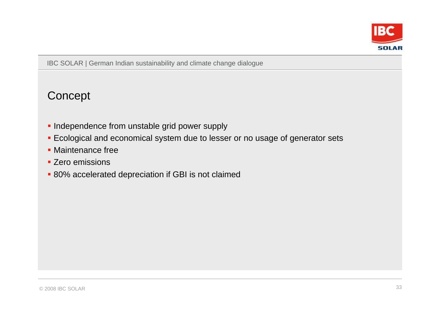

**Concept** 

- **Independence from unstable grid power supply**
- Ecological and economical system due to lesser or no usage of generator sets
- **Maintenance free**
- **EXECO EMISSIONS**
- **80% accelerated depreciation if GBI is not claimed**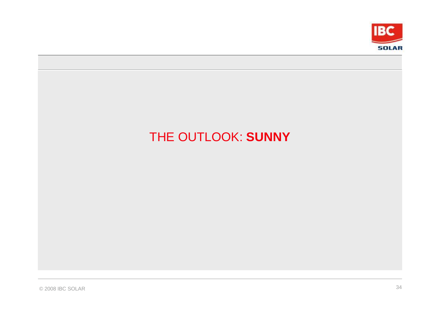

# THE OUTLOOK: **SUNNY**